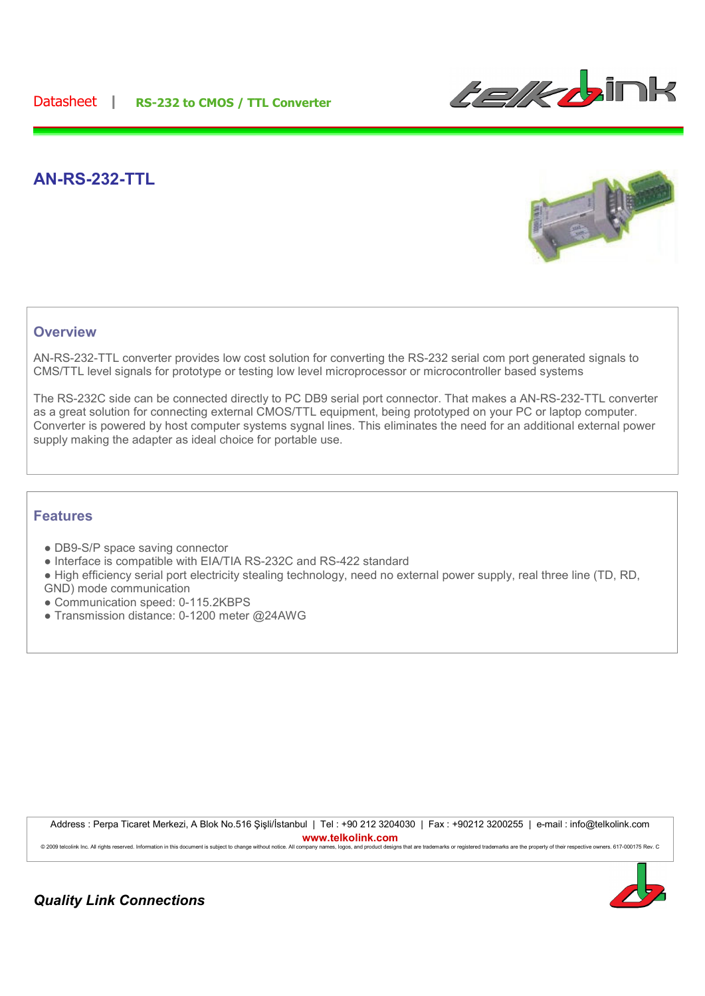

## **AN-RS-232-TTL**



## **Overview**

AN-RS-232-TTL converter provides low cost solution for converting the RS-232 serial com port generated signals to CMS/TTL level signals for prototype or testing low level microprocessor or microcontroller based systems

The RS-232C side can be connected directly to PC DB9 serial port connector. That makes a AN-RS-232-TTL converter as a great solution for connecting external CMOS/TTL equipment, being prototyped on your PC or laptop computer. Converter is powered by host computer systems sygnal lines. This eliminates the need for an additional external power supply making the adapter as ideal choice for portable use.

## **Features**

- DB9-S/P space saving connector
- Interface is compatible with EIA/TIA RS-232C and RS-422 standard
- High efficiency serial port electricity stealing technology, need no external power supply, real three line (TD, RD, GND) mode communication
- Communication speed: 0-115.2KBPS
- Transmission distance: 0-1200 meter @24AWG

Address : Perpa Ticaret Merkezi, A Blok No.516 Sisli/İstanbul | Tel : +90 212 3204030 | Fax : +90212 3200255 | e-mail : info@telkolink.com **www.telkolink.com**<br> **company names, logos, and product designs** 

© 2009 telcolink Inc. All rights reserved. Information in this document is subject to change without notice. All company names, logos, and product designs that are trademarks or registered trademarks are the property of th